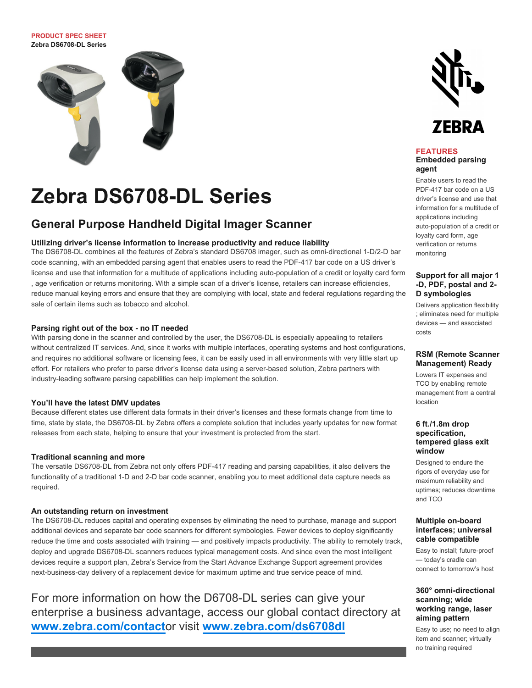**PRODUCT SPEC SHEET Zebra DS6708-DL Series**



# **Zebra DS6708-DL Series**

# **General Purpose Handheld Digital Imager Scanner**

#### **Utilizing driver's license information to increase productivity and reduce liability**

The DS6708-DL combines all the features of Zebra's standard DS6708 imager, such as omni-directional 1-D/2-D bar code scanning, with an embedded parsing agent that enables users to read the PDF-417 bar code on a US driver's license and use that information for a multitude of applications including auto-population of a credit or loyalty card form , age verification or returns monitoring. With a simple scan of a driver's license, retailers can increase efficiencies, reduce manual keying errors and ensure that they are complying with local, state and federal regulations regarding the sale of certain items such as tobacco and alcohol.

#### **Parsing right out of the box - no IT needed**

With parsing done in the scanner and controlled by the user, the DS6708-DL is especially appealing to retailers without centralized IT services. And, since it works with multiple interfaces, operating systems and host configurations, and requires no additional software or licensing fees, it can be easily used in all environments with very little start up effort. For retailers who prefer to parse driver's license data using a server-based solution, Zebra partners with industry-leading software parsing capabilities can help implement the solution.

#### **You'll have the latest DMV updates**

Because different states use different data formats in their driver's licenses and these formats change from time to time, state by state, the DS6708-DL by Zebra offers a complete solution that includes yearly updates for new format releases from each state, helping to ensure that your investment is protected from the start.

#### **Traditional scanning and more**

The versatile DS6708-DL from Zebra not only offers PDF-417 reading and parsing capabilities, it also delivers the functionality of a traditional 1-D and 2-D bar code scanner, enabling you to meet additional data capture needs as required.

#### **An outstanding return on investment**

The DS6708-DL reduces capital and operating expenses by eliminating the need to purchase, manage and support additional devices and separate bar code scanners for different symbologies. Fewer devices to deploy significantly reduce the time and costs associated with training — and positively impacts productivity. The ability to remotely track, deploy and upgrade DS6708-DL scanners reduces typical management costs. And since even the most intelligent devices require a support plan, Zebra's Service from the Start Advance Exchange Support agreement provides next-business-day delivery of a replacement device for maximum uptime and true service peace of mind.

For more information on how the D6708-DL series can give your enterprise a business advantage, access our global contact directory at **[www.zebra.com/contact](http://www.zebra.com/contact)**or visit **[www.zebra.com/ds6708dl](http://www.zebra.com/ds6708dl)**



#### **FEATURES Embedded parsing agent**

Enable users to read the PDF-417 bar code on a US driver's license and use that information for a multitude of applications including auto-population of a credit or loyalty card form, age verification or returns monitoring

#### **Support for all major 1 -D, PDF, postal and 2- D symbologies**

Delivers application flexibility ; eliminates need for multiple devices — and associated costs

#### **RSM (Remote Scanner Management) Ready**

Lowers IT expenses and TCO by enabling remote management from a central location

#### **6 ft./1.8m drop specification, tempered glass exit window**

Designed to endure the rigors of everyday use for maximum reliability and uptimes; reduces downtime and TCO

#### **Multiple on-board interfaces; universal cable compatible**

Easy to install; future-proof — today's cradle can connect to tomorrow's host

#### **360° omni-directional scanning; wide working range, laser aiming pattern**

Easy to use; no need to align item and scanner; virtually no training required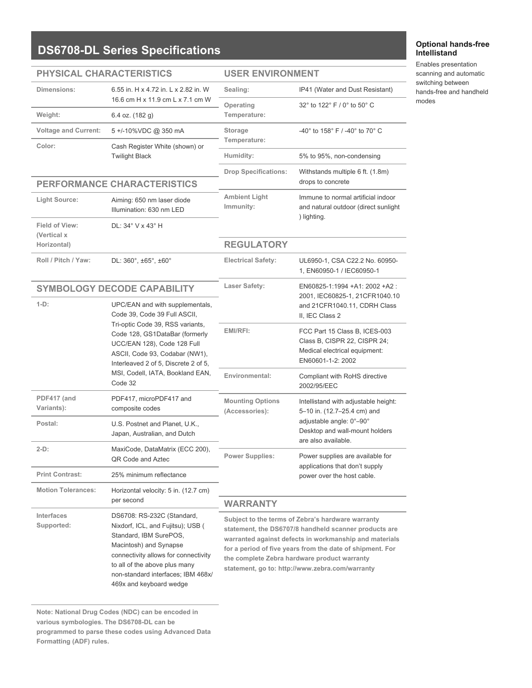# **DS6708-DL Series Specifications**

### **PHYSICAL CHARACTERISTICS**

### **USER ENVIRONMENT**

| <b>SIGAL UNANAU LENSTIUS</b> |                                                                                                                                                                                                                                                                                               | UJEN ENVINUNIVIEN I                                                                                                                                                                                                                                                                                                                  |                                                                                                                     |  |
|------------------------------|-----------------------------------------------------------------------------------------------------------------------------------------------------------------------------------------------------------------------------------------------------------------------------------------------|--------------------------------------------------------------------------------------------------------------------------------------------------------------------------------------------------------------------------------------------------------------------------------------------------------------------------------------|---------------------------------------------------------------------------------------------------------------------|--|
| Dimensions:                  | 6.55 in. H x 4.72 in. L x 2.82 in. W<br>16.6 cm H x 11.9 cm L x 7.1 cm W                                                                                                                                                                                                                      | Sealing:                                                                                                                                                                                                                                                                                                                             | IP41 (Water and Dust Resistant)                                                                                     |  |
| Weight:                      | 6.4 oz. (182 g)                                                                                                                                                                                                                                                                               | Operating<br>Temperature:                                                                                                                                                                                                                                                                                                            | 32° to 122° F / 0° to 50° C                                                                                         |  |
| <b>Voltage and Current:</b>  | 5+/-10%VDC @ 350 mA                                                                                                                                                                                                                                                                           | Storage<br>Temperature:                                                                                                                                                                                                                                                                                                              | $-40^{\circ}$ to $158^{\circ}$ F / $-40^{\circ}$ to $70^{\circ}$ C                                                  |  |
| Color:                       | Cash Register White (shown) or<br><b>Twilight Black</b>                                                                                                                                                                                                                                       | Humidity:                                                                                                                                                                                                                                                                                                                            | 5% to 95%, non-condensing                                                                                           |  |
|                              |                                                                                                                                                                                                                                                                                               | <b>Drop Specifications:</b>                                                                                                                                                                                                                                                                                                          | Withstands multiple 6 ft. (1.8m)                                                                                    |  |
| PERFORMANCE CHARACTERISTICS  |                                                                                                                                                                                                                                                                                               |                                                                                                                                                                                                                                                                                                                                      | drops to concrete                                                                                                   |  |
| Light Source:                | Aiming: 650 nm laser diode<br>Illumination: 630 nm LED                                                                                                                                                                                                                                        | <b>Ambient Light</b><br>Immunity:                                                                                                                                                                                                                                                                                                    | Immune to normal artificial indoor<br>and natural outdoor (direct sunlight<br>) lighting.                           |  |
| Field of View:               | DL: 34° V x 43° H                                                                                                                                                                                                                                                                             |                                                                                                                                                                                                                                                                                                                                      |                                                                                                                     |  |
| (Vertical x<br>Horizontal)   |                                                                                                                                                                                                                                                                                               | <b>REGULATORY</b>                                                                                                                                                                                                                                                                                                                    |                                                                                                                     |  |
| Roll / Pitch / Yaw:          | DL: 360°, ±65°, ±60°                                                                                                                                                                                                                                                                          | <b>Electrical Safety:</b>                                                                                                                                                                                                                                                                                                            | UL6950-1, CSA C22.2 No. 60950-<br>1, EN60950-1 / IEC60950-1                                                         |  |
|                              | <b>Laser Safety:</b><br><b>SYMBOLOGY DECODE CAPABILITY</b>                                                                                                                                                                                                                                    |                                                                                                                                                                                                                                                                                                                                      | EN60825-1:1994 +A1: 2002 +A2 :                                                                                      |  |
| $1-D$ :                      | UPC/EAN and with supplementals,<br>Code 39, Code 39 Full ASCII,<br>Tri-optic Code 39, RSS variants,<br>Code 128, GS1DataBar (formerly<br>UCC/EAN 128), Code 128 Full<br>ASCII, Code 93, Codabar (NW1),<br>Interleaved 2 of 5, Discrete 2 of 5,<br>MSI, Codell, IATA, Bookland EAN,<br>Code 32 |                                                                                                                                                                                                                                                                                                                                      | 2001, IEC60825-1, 21CFR1040.10<br>and 21CFR1040.11, CDRH Class<br>II. IEC Class 2                                   |  |
|                              |                                                                                                                                                                                                                                                                                               | EMI/RFI:                                                                                                                                                                                                                                                                                                                             | FCC Part 15 Class B, ICES-003<br>Class B, CISPR 22, CISPR 24;<br>Medical electrical equipment:<br>EN60601-1-2: 2002 |  |
|                              |                                                                                                                                                                                                                                                                                               | Environmental:                                                                                                                                                                                                                                                                                                                       | Compliant with RoHS directive<br>2002/95/EEC                                                                        |  |
| PDF417 (and<br>Variants):    | PDF417, microPDF417 and<br>composite codes                                                                                                                                                                                                                                                    | <b>Mounting Options</b><br>Intellistand with adjustable height:<br>(Accessories):<br>5-10 in. (12.7-25.4 cm) and                                                                                                                                                                                                                     |                                                                                                                     |  |
| Postal:                      | U.S. Postnet and Planet, U.K.,<br>Japan, Australian, and Dutch                                                                                                                                                                                                                                |                                                                                                                                                                                                                                                                                                                                      | adjustable angle: 0°-90°<br>Desktop and wall-mount holders<br>are also available.                                   |  |
| $2-D$ :                      | MaxiCode, DataMatrix (ECC 200),<br>QR Code and Aztec                                                                                                                                                                                                                                          | <b>Power Supplies:</b>                                                                                                                                                                                                                                                                                                               | Power supplies are available for<br>applications that don't supply<br>power over the host cable.                    |  |
| <b>Print Contrast:</b>       | 25% minimum reflectance                                                                                                                                                                                                                                                                       |                                                                                                                                                                                                                                                                                                                                      |                                                                                                                     |  |
| <b>Motion Tolerances:</b>    | Horizontal velocity: 5 in. (12.7 cm)<br>per second                                                                                                                                                                                                                                            | <b>WARRANTY</b>                                                                                                                                                                                                                                                                                                                      |                                                                                                                     |  |
| Interfaces<br>Supported:     | DS6708: RS-232C (Standard,<br>Nixdorf, ICL, and Fujitsu); USB (<br>Standard, IBM SurePOS,<br>Macintosh) and Synapse<br>connectivity allows for connectivity<br>to all of the above plus many<br>non-standard interfaces; IBM 468x/<br>469x and keyboard wedge                                 | Subject to the terms of Zebra's hardware warranty<br>statement, the DS6707/8 handheld scanner products are<br>warranted against defects in workmanship and materials<br>for a period of five years from the date of shipment. For<br>the complete Zebra hardware product warranty<br>statement, go to: http://www.zebra.com/warranty |                                                                                                                     |  |

### **Note: National Drug Codes (NDC) can be encoded in various symbologies. The DS6708-DL can be programmed to parse these codes using Advanced Data**

**Formatting (ADF) rules.**

#### **Optional hands-free Intellistand**

Enables presentation scanning and automatic switching between hands-free and handheld modes